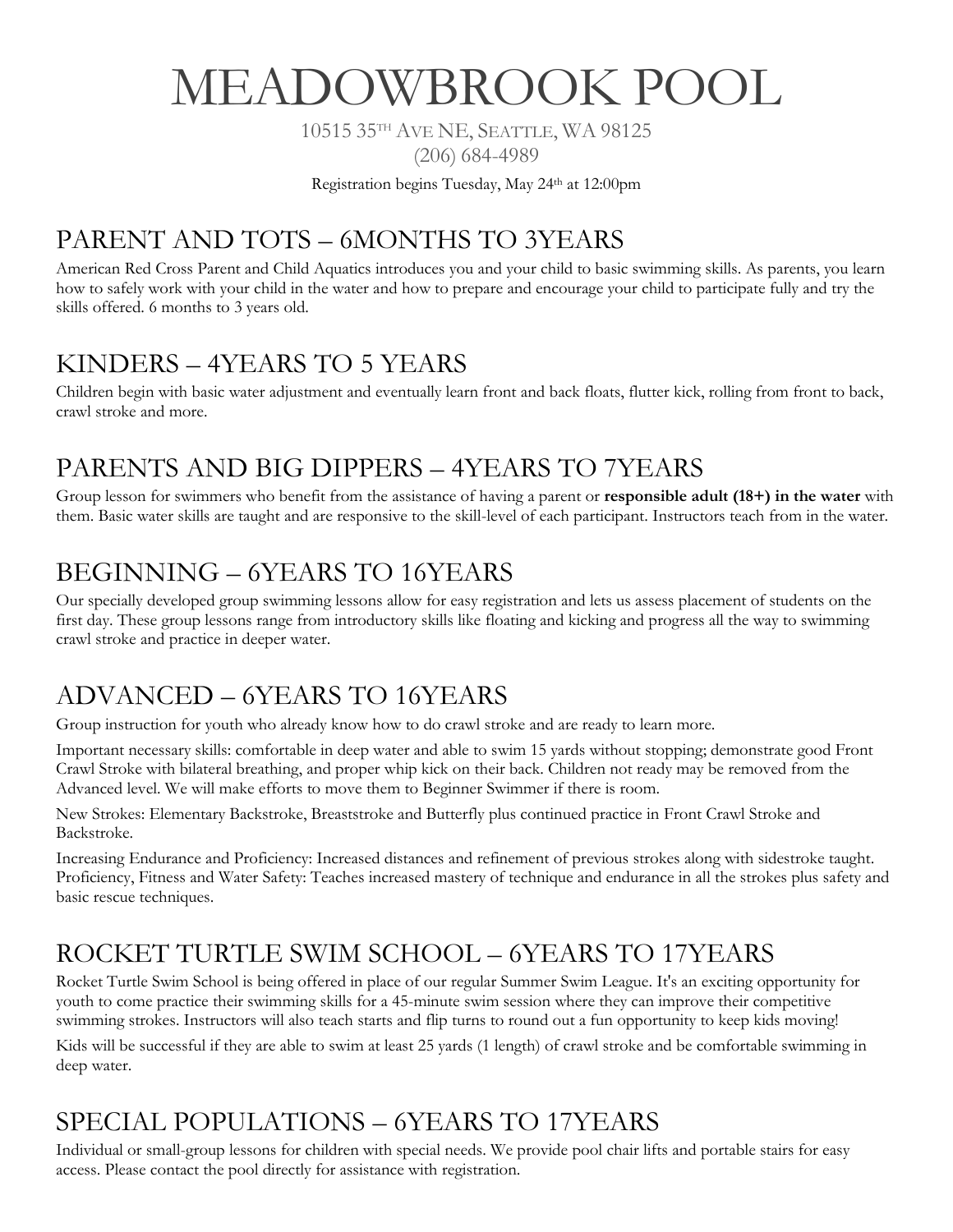# MEADOWBROOK POOL

10515 35TH AVE NE, SEATTLE, WA 98125

(206) 684-4989

Registration begins Tuesday, May 24th at 12:00pm

# PARENT AND TOTS – 6MONTHS TO 3YEARS

American Red Cross Parent and Child Aquatics introduces you and your child to basic swimming skills. As parents, you learn how to safely work with your child in the water and how to prepare and encourage your child to participate fully and try the skills offered. 6 months to 3 years old.

#### KINDERS – 4YEARS TO 5 YEARS

Children begin with basic water adjustment and eventually learn front and back floats, flutter kick, rolling from front to back, crawl stroke and more.

### PARENTS AND BIG DIPPERS – 4YEARS TO 7YEARS

Group lesson for swimmers who benefit from the assistance of having a parent or **responsible adult (18+) in the water** with them. Basic water skills are taught and are responsive to the skill-level of each participant. Instructors teach from in the water.

#### BEGINNING – 6YEARS TO 16YEARS

Our specially developed group swimming lessons allow for easy registration and lets us assess placement of students on the first day. These group lessons range from introductory skills like floating and kicking and progress all the way to swimming crawl stroke and practice in deeper water.

#### ADVANCED – 6YEARS TO 16YEARS

Group instruction for youth who already know how to do crawl stroke and are ready to learn more.

Important necessary skills: comfortable in deep water and able to swim 15 yards without stopping; demonstrate good Front Crawl Stroke with bilateral breathing, and proper whip kick on their back. Children not ready may be removed from the Advanced level. We will make efforts to move them to Beginner Swimmer if there is room.

New Strokes: Elementary Backstroke, Breaststroke and Butterfly plus continued practice in Front Crawl Stroke and Backstroke.

Increasing Endurance and Proficiency: Increased distances and refinement of previous strokes along with sidestroke taught. Proficiency, Fitness and Water Safety: Teaches increased mastery of technique and endurance in all the strokes plus safety and basic rescue techniques.

# ROCKET TURTLE SWIM SCHOOL – 6YEARS TO 17YEARS

Rocket Turtle Swim School is being offered in place of our regular Summer Swim League. It's an exciting opportunity for youth to come practice their swimming skills for a 45-minute swim session where they can improve their competitive swimming strokes. Instructors will also teach starts and flip turns to round out a fun opportunity to keep kids moving!

Kids will be successful if they are able to swim at least 25 yards (1 length) of crawl stroke and be comfortable swimming in deep water.

# SPECIAL POPULATIONS – 6YEARS TO 17YEARS

Individual or small-group lessons for children with special needs. We provide pool chair lifts and portable stairs for easy access. Please contact the pool directly for assistance with registration.